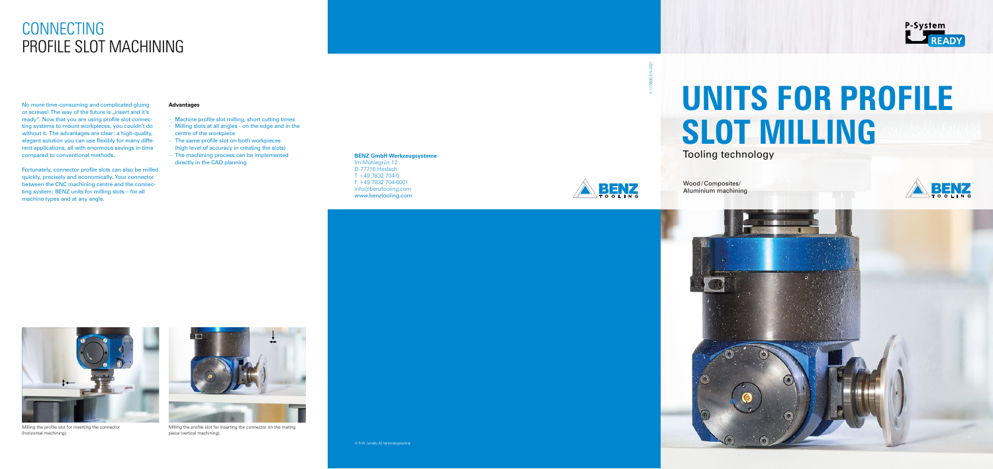### **BENZ GmbH Werkzeugsysteme**

Im Mühlegrün 12 D-77716 Haslach  $T + 497832704 - 0$ F +49 7832 704-8001 info@benztooling.com www.benztooling.com

No more time-consuming and complicated gluing or screws! The way of the future is "insert and it's ready". Now that you are using profile slot connecting systems to mount workpieces, you couldn't do without it. The advantages are clear: a high-quality, elegant solution you can use flexibly for many different applications, all with enormous savings in time compared to conventional methods.

Fortunately, connector profile slots can also be milled quickly, precisely and economically. Your connector between the CNC machining centre and the connecting system: BENZ units for milling slots – for all machine types and at any angle.

## CONNECTING PROFILE SLOT MACHINING



Milling the profile slot for inserting the connector (horizontal machining).



Milling the profile slot for inserting the connector on the mating piece (vertical machining).

#### **Advantages**

- Machine profile slot milling, short cutting times
- Milling slots at all angles on the edge and in the centre of the workpiece
- The same profile slot on both workpieces (high level of accuracy in creating the slots)
- The machining process can be implemented directly in the CAD planning



Tooling technology



Wood /Composites/ Aluminium machining





# **UNITS FOR PROFILE SLOT MILLING**

F-175698-EN-0421